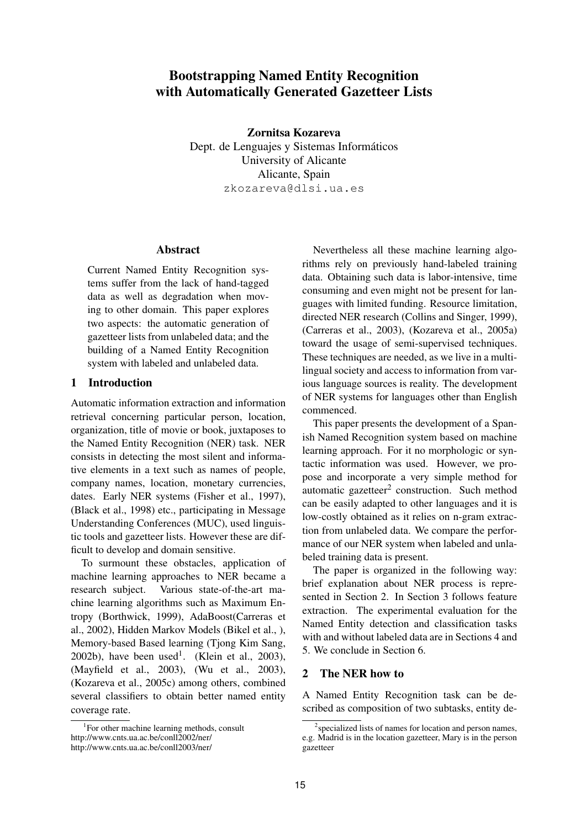# Bootstrapping Named Entity Recognition with Automatically Generated Gazetteer Lists

Zornitsa Kozareva

Dept. de Lenguajes y Sistemas Informáticos University of Alicante Alicante, Spain zkozareva@dlsi.ua.es

## Abstract

Current Named Entity Recognition systems suffer from the lack of hand-tagged data as well as degradation when moving to other domain. This paper explores two aspects: the automatic generation of gazetteer lists from unlabeled data; and the building of a Named Entity Recognition system with labeled and unlabeled data.

## 1 Introduction

Automatic information extraction and information retrieval concerning particular person, location, organization, title of movie or book, juxtaposes to the Named Entity Recognition (NER) task. NER consists in detecting the most silent and informative elements in a text such as names of people, company names, location, monetary currencies, dates. Early NER systems (Fisher et al., 1997), (Black et al., 1998) etc., participating in Message Understanding Conferences (MUC), used linguistic tools and gazetteer lists. However these are difficult to develop and domain sensitive.

To surmount these obstacles, application of machine learning approaches to NER became a research subject. Various state-of-the-art machine learning algorithms such as Maximum Entropy (Borthwick, 1999), AdaBoost(Carreras et al., 2002), Hidden Markov Models (Bikel et al., ), Memory-based Based learning (Tjong Kim Sang,  $2002b$ ), have been used<sup>1</sup>. (Klein et al., 2003), (Mayfield et al., 2003), (Wu et al., 2003), (Kozareva et al., 2005c) among others, combined several classifiers to obtain better named entity coverage rate.

Nevertheless all these machine learning algorithms rely on previously hand-labeled training data. Obtaining such data is labor-intensive, time consuming and even might not be present for languages with limited funding. Resource limitation, directed NER research (Collins and Singer, 1999), (Carreras et al., 2003), (Kozareva et al., 2005a) toward the usage of semi-supervised techniques. These techniques are needed, as we live in a multilingual society and access to information from various language sources is reality. The development of NER systems for languages other than English commenced.

This paper presents the development of a Spanish Named Recognition system based on machine learning approach. For it no morphologic or syntactic information was used. However, we propose and incorporate a very simple method for automatic gazetteer<sup>2</sup> construction. Such method can be easily adapted to other languages and it is low-costly obtained as it relies on n-gram extraction from unlabeled data. We compare the performance of our NER system when labeled and unlabeled training data is present.

The paper is organized in the following way: brief explanation about NER process is represented in Section 2. In Section 3 follows feature extraction. The experimental evaluation for the Named Entity detection and classification tasks with and without labeled data are in Sections 4 and 5. We conclude in Section 6.

## 2 The NER how to

A Named Entity Recognition task can be described as composition of two subtasks, entity de-

<sup>&</sup>lt;sup>1</sup>For other machine learning methods, consult http://www.cnts.ua.ac.be/conll2002/ner/ http://www.cnts.ua.ac.be/conll2003/ner/

<sup>&</sup>lt;sup>2</sup> specialized lists of names for location and person names, e.g. Madrid is in the location gazetteer, Mary is in the person gazetteer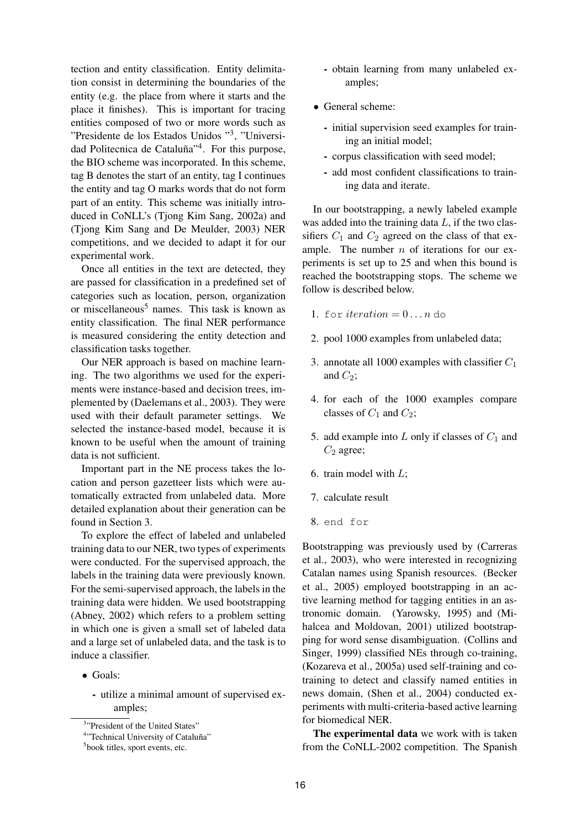tection and entity classification. Entity delimitation consist in determining the boundaries of the entity (e.g. the place from where it starts and the place it finishes). This is important for tracing entities composed of two or more words such as "Presidente de los Estados Unidos "<sup>3</sup> , "Universidad Politecnica de Cataluña"<sup>4</sup>. For this purpose, the BIO scheme was incorporated. In this scheme, tag B denotes the start of an entity, tag I continues the entity and tag O marks words that do not form part of an entity. This scheme was initially introduced in CoNLL's (Tjong Kim Sang, 2002a) and (Tjong Kim Sang and De Meulder, 2003) NER competitions, and we decided to adapt it for our experimental work.

Once all entities in the text are detected, they are passed for classification in a predefined set of categories such as location, person, organization or miscellaneous<sup>5</sup> names. This task is known as entity classification. The final NER performance is measured considering the entity detection and classification tasks together.

Our NER approach is based on machine learning. The two algorithms we used for the experiments were instance-based and decision trees, implemented by (Daelemans et al., 2003). They were used with their default parameter settings. We selected the instance-based model, because it is known to be useful when the amount of training data is not sufficient.

Important part in the NE process takes the location and person gazetteer lists which were automatically extracted from unlabeled data. More detailed explanation about their generation can be found in Section 3.

To explore the effect of labeled and unlabeled training data to our NER, two types of experiments were conducted. For the supervised approach, the labels in the training data were previously known. For the semi-supervised approach, the labels in the training data were hidden. We used bootstrapping (Abney, 2002) which refers to a problem setting in which one is given a small set of labeled data and a large set of unlabeled data, and the task is to induce a classifier.

- Goals:
	- utilize a minimal amount of supervised examples;
- obtain learning from many unlabeled examples;
- General scheme:
	- initial supervision seed examples for training an initial model;
	- corpus classification with seed model;
	- add most confident classifications to training data and iterate.

In our bootstrapping, a newly labeled example was added into the training data  $L$ , if the two classifiers  $C_1$  and  $C_2$  agreed on the class of that example. The number  $n$  of iterations for our experiments is set up to 25 and when this bound is reached the bootstrapping stops. The scheme we follow is described below.

- 1. for *iteration*  $= 0 \ldots n$  do
- 2. pool 1000 examples from unlabeled data;
- 3. annotate all 1000 examples with classifier  $C_1$ and  $C_2$ ;
- 4. for each of the 1000 examples compare classes of  $C_1$  and  $C_2$ ;
- 5. add example into  $L$  only if classes of  $C_1$  and  $C_2$  agree;
- 6. train model with L;
- 7. calculate result
- 8. end for

Bootstrapping was previously used by (Carreras et al., 2003), who were interested in recognizing Catalan names using Spanish resources. (Becker et al., 2005) employed bootstrapping in an active learning method for tagging entities in an astronomic domain. (Yarowsky, 1995) and (Mihalcea and Moldovan, 2001) utilized bootstrapping for word sense disambiguation. (Collins and Singer, 1999) classified NEs through co-training, (Kozareva et al., 2005a) used self-training and cotraining to detect and classify named entities in news domain, (Shen et al., 2004) conducted experiments with multi-criteria-based active learning for biomedical NER.

The experimental data we work with is taken from the CoNLL-2002 competition. The Spanish

<sup>&</sup>lt;sup>3</sup>"President of the United States"

<sup>&</sup>lt;sup>4</sup>"Technical University of Cataluña"

<sup>5</sup> book titles, sport events, etc.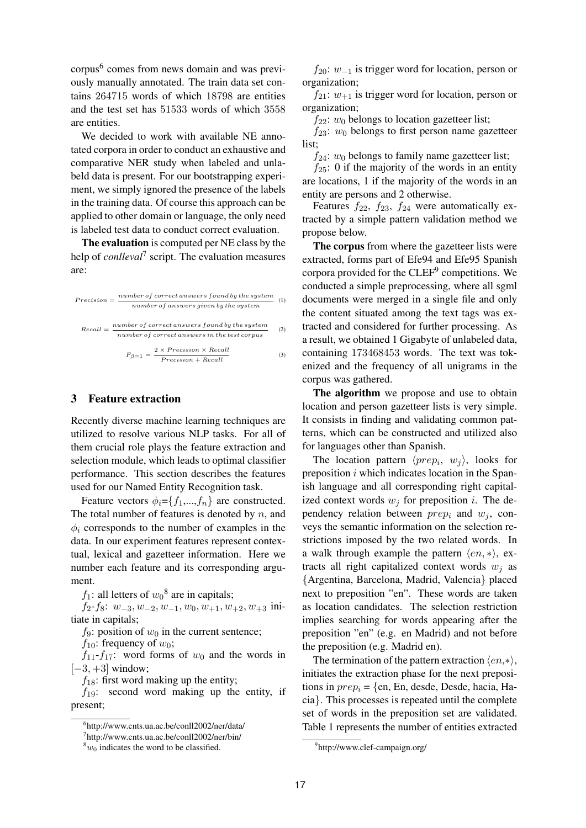corpus<sup>6</sup> comes from news domain and was previously manually annotated. The train data set contains 264715 words of which 18798 are entities and the test set has 51533 words of which 3558 are entities.

We decided to work with available NE annotated corpora in order to conduct an exhaustive and comparative NER study when labeled and unlabeld data is present. For our bootstrapping experiment, we simply ignored the presence of the labels in the training data. Of course this approach can be applied to other domain or language, the only need is labeled test data to conduct correct evaluation.

The evaluation is computed per NE class by the help of *conlleval*<sup>7</sup> script. The evaluation measures are:

$$
Precision = \frac{number\ of\ correct\ answers\ found\ by\ the\ system}{number\ of\ answers\ given\ by\ the\ system}
$$
 (1)  
Recall = 
$$
\frac{number\ of\ correct\ answers\ found\ by\ the\ system}{number\ of\ correct\ answers\ in\ the\ test\ corpus}
$$
 (2)  

$$
F_{\beta=1} = \frac{2 \times Precision \times Recall}{Precision + Recall}
$$
 (3)

## 3 Feature extraction

Recently diverse machine learning techniques are utilized to resolve various NLP tasks. For all of them crucial role plays the feature extraction and selection module, which leads to optimal classifier performance. This section describes the features used for our Named Entity Recognition task.

Feature vectors  $\phi_i = \{f_1, ..., f_n\}$  are constructed. The total number of features is denoted by  $n$ , and  $\phi_i$  corresponds to the number of examples in the data. In our experiment features represent contextual, lexical and gazetteer information. Here we number each feature and its corresponding argument.

 $f_1$ : all letters of  $w_0^8$  are in capitals;

 $f_2-f_8: w_{-3}, w_{-2}, w_{-1}, w_0, w_{+1}, w_{+2}, w_{+3}$  initiate in capitals;

 $f_9$ : position of  $w_0$  in the current sentence;

 $f_{10}$ : frequency of  $w_0$ ;

 $f_{11}-f_{17}$ : word forms of  $w_0$  and the words in  $[-3, +3]$  window;

 $f_{18}$ : first word making up the entity;

 $f_{19}$ : second word making up the entity, if present;

 $f_{20}$ :  $w_{-1}$  is trigger word for location, person or organization;

 $f_{21}: w_{+1}$  is trigger word for location, person or organization;

 $f_{22}:$   $w_0$  belongs to location gazetteer list;

 $f_{23}$ :  $w_0$  belongs to first person name gazetteer list;

 $f_{24}:$   $w_0$  belongs to family name gazetteer list;

 $f_{25}$ : 0 if the majority of the words in an entity are locations, 1 if the majority of the words in an entity are persons and 2 otherwise.

Features  $f_{22}$ ,  $f_{23}$ ,  $f_{24}$  were automatically extracted by a simple pattern validation method we propose below.

The corpus from where the gazetteer lists were extracted, forms part of Efe94 and Efe95 Spanish corpora provided for the CLEF<sup>9</sup> competitions. We conducted a simple preprocessing, where all sgml documents were merged in a single file and only the content situated among the text tags was extracted and considered for further processing. As a result, we obtained 1 Gigabyte of unlabeled data, containing 173468453 words. The text was tokenized and the frequency of all unigrams in the corpus was gathered.

The algorithm we propose and use to obtain location and person gazetteer lists is very simple. It consists in finding and validating common patterns, which can be constructed and utilized also for languages other than Spanish.

The location pattern  $\langle prep_i, w_j \rangle$ , looks for preposition  $i$  which indicates location in the Spanish language and all corresponding right capitalized context words  $w_i$  for preposition i. The dependency relation between  $prep_i$  and  $w_i$ , conveys the semantic information on the selection restrictions imposed by the two related words. In a walk through example the pattern  $\langle en, * \rangle$ , extracts all right capitalized context words  $w_i$  as {Argentina, Barcelona, Madrid, Valencia} placed next to preposition "en". These words are taken as location candidates. The selection restriction implies searching for words appearing after the preposition "en" (e.g. en Madrid) and not before the preposition (e.g. Madrid en).

The termination of the pattern extraction  $\langle en,* \rangle$ , initiates the extraction phase for the next prepositions in  $prep_i = \{en, En, desde, Desde, hacia, Ha$ cia}. This processes is repeated until the complete set of words in the preposition set are validated. Table 1 represents the number of entities extracted

<sup>6</sup> http://www.cnts.ua.ac.be/conll2002/ner/data/

<sup>7</sup> http://www.cnts.ua.ac.be/conll2002/ner/bin/

 $8w_0$  indicates the word to be classified.

<sup>9</sup> http://www.clef-campaign.org/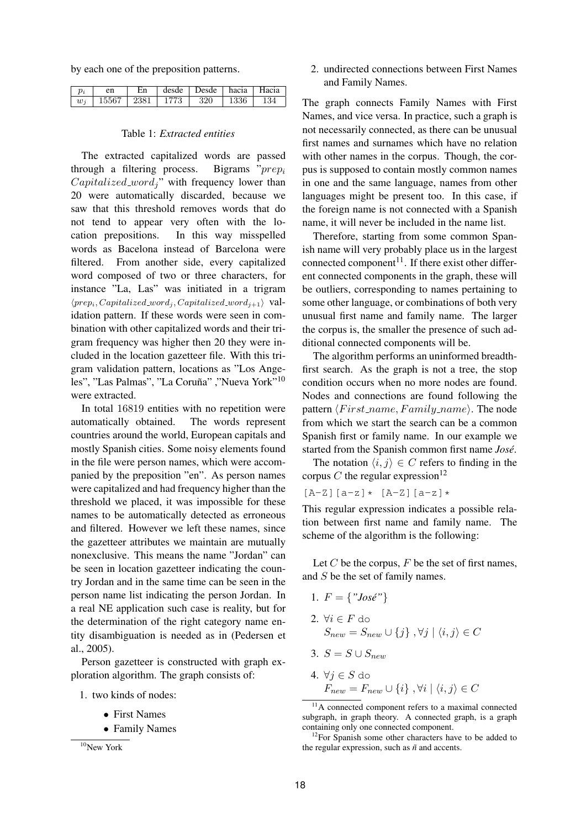by each one of the preposition patterns.

| $p_i$ | en    | Εn   | desde | Desde | hacia Hacia |     |
|-------|-------|------|-------|-------|-------------|-----|
| $w_i$ | 15567 | 2381 | 1773  | 320   | 1336        | 134 |

#### Table 1: *Extracted entities*

The extracted capitalized words are passed through a filtering process. Bigrams " $prep<sub>i</sub>$  $Capitalized_{word}$ " with frequency lower than 20 were automatically discarded, because we saw that this threshold removes words that do not tend to appear very often with the location prepositions. In this way misspelled words as Bacelona instead of Barcelona were filtered. From another side, every capitalized word composed of two or three characters, for instance "La, Las" was initiated in a trigram  $\langle prep_i, Capitalized\_word_j, Capitalized\_word_{j+1}\rangle$  validation pattern. If these words were seen in combination with other capitalized words and their trigram frequency was higher then 20 they were included in the location gazetteer file. With this trigram validation pattern, locations as "Los Angeles", "Las Palmas", "La Coruña" ,"Nueva York"  $^{10}$ were extracted.

In total 16819 entities with no repetition were automatically obtained. The words represent countries around the world, European capitals and mostly Spanish cities. Some noisy elements found in the file were person names, which were accompanied by the preposition "en". As person names were capitalized and had frequency higher than the threshold we placed, it was impossible for these names to be automatically detected as erroneous and filtered. However we left these names, since the gazetteer attributes we maintain are mutually nonexclusive. This means the name "Jordan" can be seen in location gazetteer indicating the country Jordan and in the same time can be seen in the person name list indicating the person Jordan. In a real NE application such case is reality, but for the determination of the right category name entity disambiguation is needed as in (Pedersen et al., 2005).

Person gazetteer is constructed with graph exploration algorithm. The graph consists of:

- 1. two kinds of nodes:
	- First Names
	- Family Names

2. undirected connections between First Names and Family Names.

The graph connects Family Names with First Names, and vice versa. In practice, such a graph is not necessarily connected, as there can be unusual first names and surnames which have no relation with other names in the corpus. Though, the corpus is supposed to contain mostly common names in one and the same language, names from other languages might be present too. In this case, if the foreign name is not connected with a Spanish name, it will never be included in the name list.

Therefore, starting from some common Spanish name will very probably place us in the largest connected component<sup>11</sup>. If there exist other different connected components in the graph, these will be outliers, corresponding to names pertaining to some other language, or combinations of both very unusual first name and family name. The larger the corpus is, the smaller the presence of such additional connected components will be.

The algorithm performs an uninformed breadthfirst search. As the graph is not a tree, the stop condition occurs when no more nodes are found. Nodes and connections are found following the pattern  $\langle First_name,Family_name \rangle$ . The node from which we start the search can be a common Spanish first or family name. In our example we started from the Spanish common first name *Jose´*.

The notation  $\langle i, j \rangle \in C$  refers to finding in the corpus C the regular expression<sup>12</sup>

 $[A-Z]$ [ $a-z$ ]  $\star$  [ $A-Z$ ][ $a-z$ ]  $\star$ 

This regular expression indicates a possible relation between first name and family name. The scheme of the algorithm is the following:

Let  $C$  be the corpus,  $F$  be the set of first names, and S be the set of family names.

- 1.  $F = \{ "José" \}$
- 2.  $\forall i \in F$  do  $S_{new} = S_{new} \cup \{i\}, \forall j | \langle i, j \rangle \in C$
- 3.  $S = S \cup S_{new}$ 4.  $\forall i \in S$  do  $F_{new} = F_{new} \cup \{i\}, \forall i \mid \langle i, j \rangle \in C$

<sup>11</sup>A connected component refers to a maximal connected subgraph, in graph theory. A connected graph, is a graph containing only one connected component.

 $10$ New York

<sup>&</sup>lt;sup>12</sup>For Spanish some other characters have to be added to the regular expression, such as  $\tilde{n}$  and accents.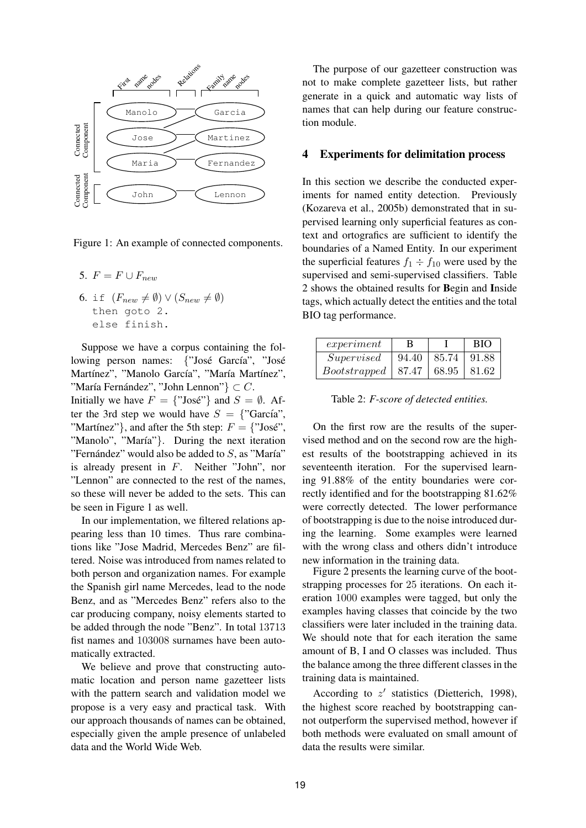

Figure 1: An example of connected components.

- 5.  $F = F \cup F_{new}$
- 6. if  $(F_{new} \neq \emptyset) \vee (S_{new} \neq \emptyset)$ then goto 2. else finish.

Suppose we have a corpus containing the following person names: {"José García", "José Martínez", "Manolo García", "María Martínez", "María Fernández", "John Lennon"  $\} \subset C$ .

Initially we have  $F = \{\text{"Jos\'e"}\}$  and  $S = \emptyset$ . After the 3rd step we would have  $S = \{$ "García", "Martinez"}, and after the 5th step:  $F = \{$ "José", "Manolo", "María"}. During the next iteration "Fernández" would also be added to  $S$ , as "María" is already present in F. Neither "John", nor "Lennon" are connected to the rest of the names, so these will never be added to the sets. This can be seen in Figure 1 as well.

In our implementation, we filtered relations appearing less than 10 times. Thus rare combinations like "Jose Madrid, Mercedes Benz" are filtered. Noise was introduced from names related to both person and organization names. For example the Spanish girl name Mercedes, lead to the node Benz, and as "Mercedes Benz" refers also to the car producing company, noisy elements started to be added through the node "Benz". In total 13713 fist names and 103008 surnames have been automatically extracted.

We believe and prove that constructing automatic location and person name gazetteer lists with the pattern search and validation model we propose is a very easy and practical task. With our approach thousands of names can be obtained, especially given the ample presence of unlabeled data and the World Wide Web.

The purpose of our gazetteer construction was not to make complete gazetteer lists, but rather generate in a quick and automatic way lists of names that can help during our feature construction module.

## 4 Experiments for delimitation process

In this section we describe the conducted experiments for named entity detection. Previously (Kozareva et al., 2005b) demonstrated that in supervised learning only superficial features as context and ortografics are sufficient to identify the boundaries of a Named Entity. In our experiment the superficial features  $f_1 \div f_{10}$  were used by the supervised and semi-supervised classifiers. Table 2 shows the obtained results for Begin and Inside tags, which actually detect the entities and the total BIO tag performance.

| experiment   | <sup>B</sup> |               | <b>BIO</b> |
|--------------|--------------|---------------|------------|
| Supervised   | 94.40        | 85.74   91.88 |            |
| Bootstrapped | 87.47        | 68.95 81.62   |            |

Table 2: *F-score of detected entities.*

On the first row are the results of the supervised method and on the second row are the highest results of the bootstrapping achieved in its seventeenth iteration. For the supervised learning 91.88% of the entity boundaries were correctly identified and for the bootstrapping 81.62% were correctly detected. The lower performance of bootstrapping is due to the noise introduced during the learning. Some examples were learned with the wrong class and others didn't introduce new information in the training data.

Figure 2 presents the learning curve of the bootstrapping processes for 25 iterations. On each iteration 1000 examples were tagged, but only the examples having classes that coincide by the two classifiers were later included in the training data. We should note that for each iteration the same amount of B, I and O classes was included. Thus the balance among the three different classes in the training data is maintained.

According to  $z'$  statistics (Dietterich, 1998), the highest score reached by bootstrapping cannot outperform the supervised method, however if both methods were evaluated on small amount of data the results were similar.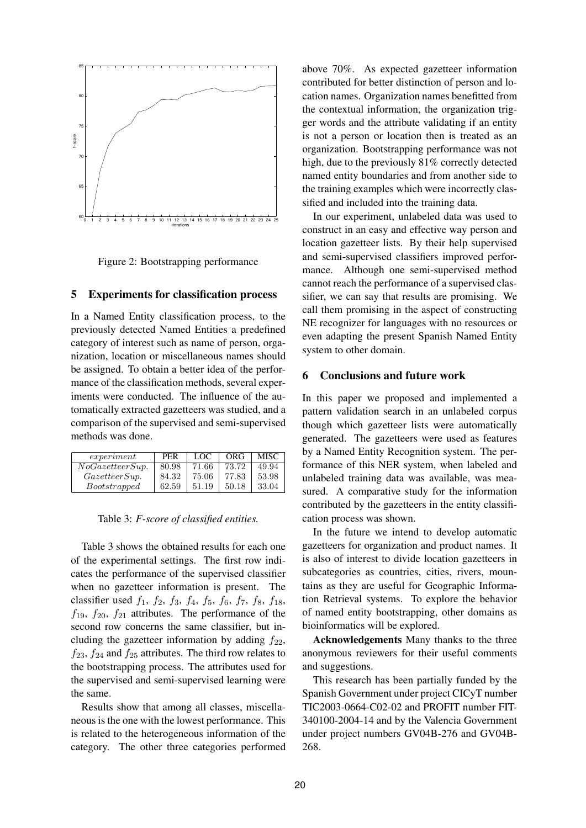

Figure 2: Bootstrapping performance

## 5 Experiments for classification process

In a Named Entity classification process, to the previously detected Named Entities a predefined category of interest such as name of person, organization, location or miscellaneous names should be assigned. To obtain a better idea of the performance of the classification methods, several experiments were conducted. The influence of the automatically extracted gazetteers was studied, and a comparison of the supervised and semi-supervised methods was done.

| experiment          | <b>PER</b> | LOC   | ORG   | MISC. |
|---------------------|------------|-------|-------|-------|
| NoGazetteer Sup.    | 80.98      | 71.66 | 73.72 | 49.94 |
| GazetteerSup.       | 84.32      | 75.06 | 77.83 | 53.98 |
| <i>Bootstrapped</i> | 62.59      | 51.19 | 50.18 | 33.04 |

| Table 3: F-score of classified entities. |  |  |  |  |  |
|------------------------------------------|--|--|--|--|--|
|------------------------------------------|--|--|--|--|--|

Table 3 shows the obtained results for each one of the experimental settings. The first row indicates the performance of the supervised classifier when no gazetteer information is present. The classifier used  $f_1$ ,  $f_2$ ,  $f_3$ ,  $f_4$ ,  $f_5$ ,  $f_6$ ,  $f_7$ ,  $f_8$ ,  $f_{18}$ ,  $f_{19}$ ,  $f_{20}$ ,  $f_{21}$  attributes. The performance of the second row concerns the same classifier, but including the gazetteer information by adding  $f_{22}$ ,  $f_{23}$ ,  $f_{24}$  and  $f_{25}$  attributes. The third row relates to the bootstrapping process. The attributes used for the supervised and semi-supervised learning were the same.

Results show that among all classes, miscellaneous is the one with the lowest performance. This is related to the heterogeneous information of the category. The other three categories performed above 70%. As expected gazetteer information contributed for better distinction of person and location names. Organization names benefitted from the contextual information, the organization trigger words and the attribute validating if an entity is not a person or location then is treated as an organization. Bootstrapping performance was not high, due to the previously 81% correctly detected named entity boundaries and from another side to the training examples which were incorrectly classified and included into the training data.

In our experiment, unlabeled data was used to construct in an easy and effective way person and location gazetteer lists. By their help supervised and semi-supervised classifiers improved performance. Although one semi-supervised method cannot reach the performance of a supervised classifier, we can say that results are promising. We call them promising in the aspect of constructing NE recognizer for languages with no resources or even adapting the present Spanish Named Entity system to other domain.

### 6 Conclusions and future work

In this paper we proposed and implemented a pattern validation search in an unlabeled corpus though which gazetteer lists were automatically generated. The gazetteers were used as features by a Named Entity Recognition system. The performance of this NER system, when labeled and unlabeled training data was available, was measured. A comparative study for the information contributed by the gazetteers in the entity classification process was shown.

In the future we intend to develop automatic gazetteers for organization and product names. It is also of interest to divide location gazetteers in subcategories as countries, cities, rivers, mountains as they are useful for Geographic Information Retrieval systems. To explore the behavior of named entity bootstrapping, other domains as bioinformatics will be explored.

Acknowledgements Many thanks to the three anonymous reviewers for their useful comments and suggestions.

This research has been partially funded by the Spanish Government under project CICyT number TIC2003-0664-C02-02 and PROFIT number FIT-340100-2004-14 and by the Valencia Government under project numbers GV04B-276 and GV04B-268.